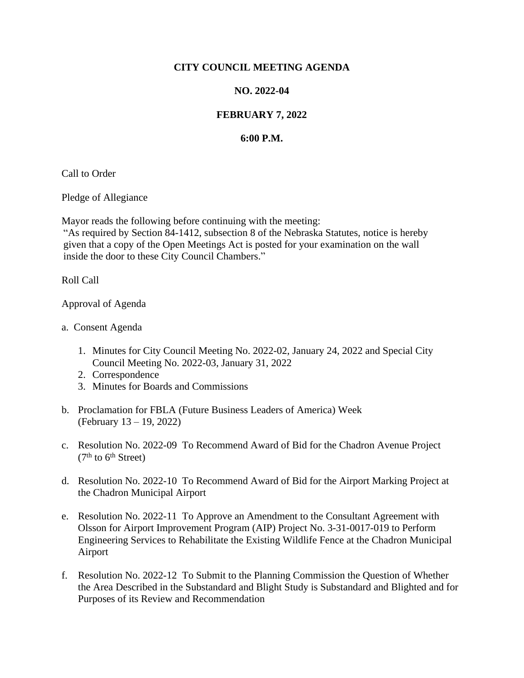## **CITY COUNCIL MEETING AGENDA**

## **NO. 2022-04**

## **FEBRUARY 7, 2022**

## **6:00 P.M.**

Call to Order

Pledge of Allegiance

Mayor reads the following before continuing with the meeting:

"As required by Section 84-1412, subsection 8 of the Nebraska Statutes, notice is hereby given that a copy of the Open Meetings Act is posted for your examination on the wall inside the door to these City Council Chambers."

Roll Call

Approval of Agenda

- a. Consent Agenda
	- 1. Minutes for City Council Meeting No. 2022-02, January 24, 2022 and Special City Council Meeting No. 2022-03, January 31, 2022
	- 2. Correspondence
	- 3. Minutes for Boards and Commissions
- b. Proclamation for FBLA (Future Business Leaders of America) Week (February 13 – 19, 2022)
- c. Resolution No. 2022-09 To Recommend Award of Bid for the Chadron Avenue Project  $(7<sup>th</sup>$  to 6<sup>th</sup> Street)
- d. Resolution No. 2022-10 To Recommend Award of Bid for the Airport Marking Project at the Chadron Municipal Airport
- e. Resolution No. 2022-11 To Approve an Amendment to the Consultant Agreement with Olsson for Airport Improvement Program (AIP) Project No. 3-31-0017-019 to Perform Engineering Services to Rehabilitate the Existing Wildlife Fence at the Chadron Municipal Airport
- f. Resolution No. 2022-12 To Submit to the Planning Commission the Question of Whether the Area Described in the Substandard and Blight Study is Substandard and Blighted and for Purposes of its Review and Recommendation